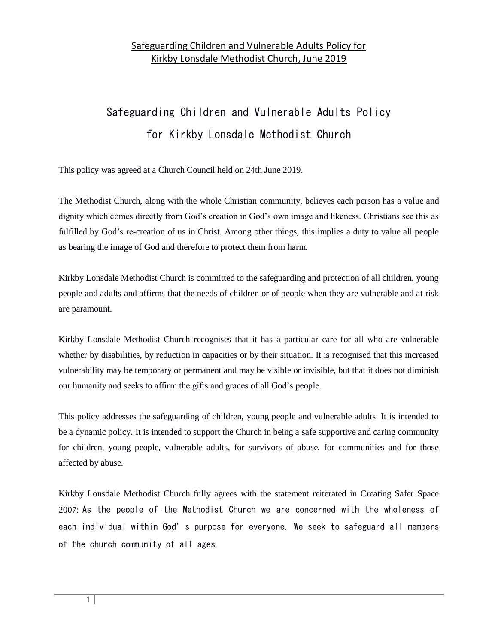# Safeguarding Children and Vulnerable Adults Policy for Kirkby Lonsdale Methodist Church

This policy was agreed at a Church Council held on 24th June 2019.

The Methodist Church, along with the whole Christian community, believes each person has a value and dignity which comes directly from God's creation in God's own image and likeness. Christians see this as fulfilled by God's re-creation of us in Christ. Among other things, this implies a duty to value all people as bearing the image of God and therefore to protect them from harm.

Kirkby Lonsdale Methodist Church is committed to the safeguarding and protection of all children, young people and adults and affirms that the needs of children or of people when they are vulnerable and at risk are paramount.

Kirkby Lonsdale Methodist Church recognises that it has a particular care for all who are vulnerable whether by disabilities, by reduction in capacities or by their situation. It is recognised that this increased vulnerability may be temporary or permanent and may be visible or invisible, but that it does not diminish our humanity and seeks to affirm the gifts and graces of all God's people.

This policy addresses the safeguarding of children, young people and vulnerable adults. It is intended to be a dynamic policy. It is intended to support the Church in being a safe supportive and caring community for children, young people, vulnerable adults, for survivors of abuse, for communities and for those affected by abuse.

Kirkby Lonsdale Methodist Church fully agrees with the statement reiterated in Creating Safer Space 2007: As the people of the Methodist Church we are concerned with the wholeness of each individual within God's purpose for everyone. We seek to safeguard all members of the church community of all ages.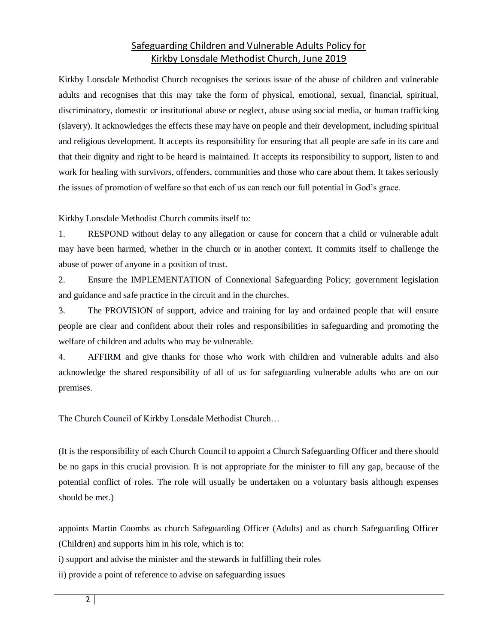Kirkby Lonsdale Methodist Church recognises the serious issue of the abuse of children and vulnerable adults and recognises that this may take the form of physical, emotional, sexual, financial, spiritual, discriminatory, domestic or institutional abuse or neglect, abuse using social media, or human trafficking (slavery). It acknowledges the effects these may have on people and their development, including spiritual and religious development. It accepts its responsibility for ensuring that all people are safe in its care and that their dignity and right to be heard is maintained. It accepts its responsibility to support, listen to and work for healing with survivors, offenders, communities and those who care about them. It takes seriously the issues of promotion of welfare so that each of us can reach our full potential in God's grace.

Kirkby Lonsdale Methodist Church commits itself to:

1. RESPOND without delay to any allegation or cause for concern that a child or vulnerable adult may have been harmed, whether in the church or in another context. It commits itself to challenge the abuse of power of anyone in a position of trust.

2. Ensure the IMPLEMENTATION of Connexional Safeguarding Policy; government legislation and guidance and safe practice in the circuit and in the churches.

3. The PROVISION of support, advice and training for lay and ordained people that will ensure people are clear and confident about their roles and responsibilities in safeguarding and promoting the welfare of children and adults who may be vulnerable.

4. AFFIRM and give thanks for those who work with children and vulnerable adults and also acknowledge the shared responsibility of all of us for safeguarding vulnerable adults who are on our premises.

The Church Council of Kirkby Lonsdale Methodist Church…

(It is the responsibility of each Church Council to appoint a Church Safeguarding Officer and there should be no gaps in this crucial provision. It is not appropriate for the minister to fill any gap, because of the potential conflict of roles. The role will usually be undertaken on a voluntary basis although expenses should be met.)

appoints Martin Coombs as church Safeguarding Officer (Adults) and as church Safeguarding Officer (Children) and supports him in his role, which is to:

i) support and advise the minister and the stewards in fulfilling their roles

ii) provide a point of reference to advise on safeguarding issues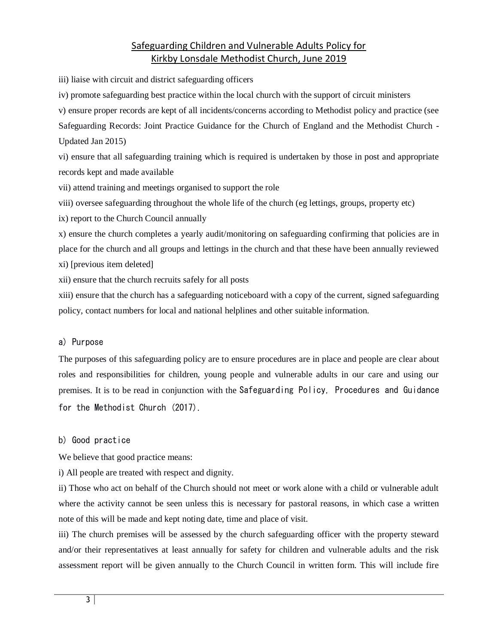iii) liaise with circuit and district safeguarding officers

iv) promote safeguarding best practice within the local church with the support of circuit ministers

v) ensure proper records are kept of all incidents/concerns according to Methodist policy and practice (see

Safeguarding Records: Joint Practice Guidance for the Church of England and the Methodist Church - Updated Jan 2015)

vi) ensure that all safeguarding training which is required is undertaken by those in post and appropriate records kept and made available

vii) attend training and meetings organised to support the role

viii) oversee safeguarding throughout the whole life of the church (eg lettings, groups, property etc)

ix) report to the Church Council annually

x) ensure the church completes a yearly audit/monitoring on safeguarding confirming that policies are in place for the church and all groups and lettings in the church and that these have been annually reviewed xi) [previous item deleted]

xii) ensure that the church recruits safely for all posts

xiii) ensure that the church has a safeguarding noticeboard with a copy of the current, signed safeguarding policy, contact numbers for local and national helplines and other suitable information.

### a) Purpose

The purposes of this safeguarding policy are to ensure procedures are in place and people are clear about roles and responsibilities for children, young people and vulnerable adults in our care and using our premises. It is to be read in conjunction with the Safeguarding Policy, Procedures and Guidance for the Methodist Church (2017).

#### b) Good practice

We believe that good practice means:

i) All people are treated with respect and dignity.

ii) Those who act on behalf of the Church should not meet or work alone with a child or vulnerable adult where the activity cannot be seen unless this is necessary for pastoral reasons, in which case a written note of this will be made and kept noting date, time and place of visit.

iii) The church premises will be assessed by the church safeguarding officer with the property steward and/or their representatives at least annually for safety for children and vulnerable adults and the risk assessment report will be given annually to the Church Council in written form. This will include fire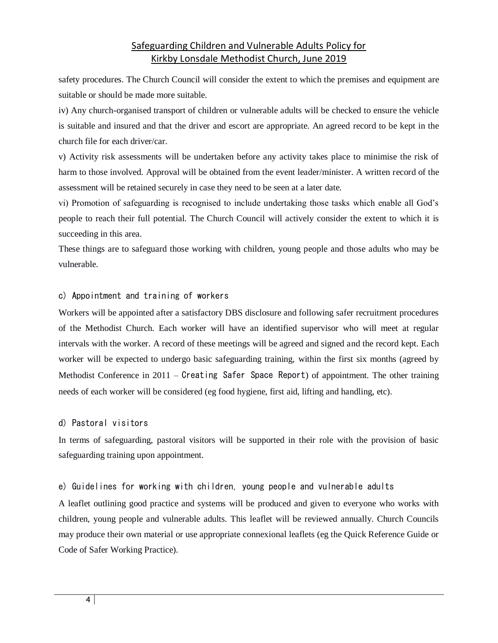safety procedures. The Church Council will consider the extent to which the premises and equipment are suitable or should be made more suitable.

iv) Any church-organised transport of children or vulnerable adults will be checked to ensure the vehicle is suitable and insured and that the driver and escort are appropriate. An agreed record to be kept in the church file for each driver/car.

v) Activity risk assessments will be undertaken before any activity takes place to minimise the risk of harm to those involved. Approval will be obtained from the event leader/minister. A written record of the assessment will be retained securely in case they need to be seen at a later date.

vi) Promotion of safeguarding is recognised to include undertaking those tasks which enable all God's people to reach their full potential. The Church Council will actively consider the extent to which it is succeeding in this area.

These things are to safeguard those working with children, young people and those adults who may be vulnerable.

#### c) Appointment and training of workers

Workers will be appointed after a satisfactory DBS disclosure and following safer recruitment procedures of the Methodist Church. Each worker will have an identified supervisor who will meet at regular intervals with the worker. A record of these meetings will be agreed and signed and the record kept. Each worker will be expected to undergo basic safeguarding training, within the first six months (agreed by Methodist Conference in 2011 – Creating Safer Space Report) of appointment. The other training needs of each worker will be considered (eg food hygiene, first aid, lifting and handling, etc).

#### d) Pastoral visitors

In terms of safeguarding, pastoral visitors will be supported in their role with the provision of basic safeguarding training upon appointment.

#### e) Guidelines for working with children, young people and vulnerable adults

A leaflet outlining good practice and systems will be produced and given to everyone who works with children, young people and vulnerable adults. This leaflet will be reviewed annually. Church Councils may produce their own material or use appropriate connexional leaflets (eg the Quick Reference Guide or Code of Safer Working Practice).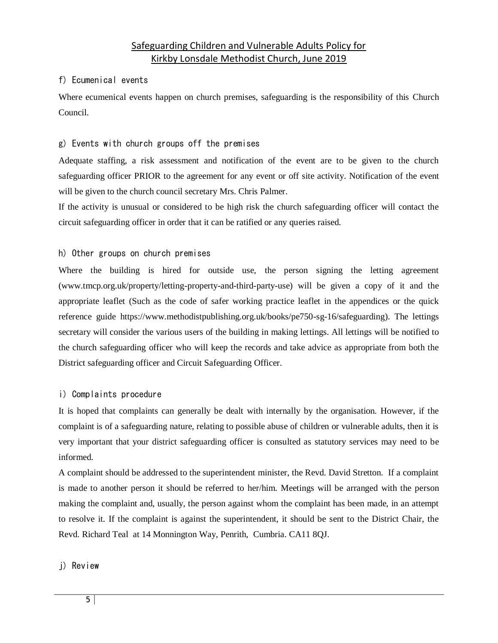#### f) Ecumenical events

Where ecumenical events happen on church premises, safeguarding is the responsibility of this Church Council.

#### g) Events with church groups off the premises

Adequate staffing, a risk assessment and notification of the event are to be given to the church safeguarding officer PRIOR to the agreement for any event or off site activity. Notification of the event will be given to the church council secretary Mrs. Chris Palmer.

If the activity is unusual or considered to be high risk the church safeguarding officer will contact the circuit safeguarding officer in order that it can be ratified or any queries raised.

#### h) Other groups on church premises

Where the building is hired for outside use, the person signing the letting agreement (www.tmcp.org.uk/property/letting-property-and-third-party-use) will be given a copy of it and the appropriate leaflet (Such as the code of safer working practice leaflet in the appendices or the quick reference guide https://www.methodistpublishing.org.uk/books/pe750-sg-16/safeguarding). The lettings secretary will consider the various users of the building in making lettings. All lettings will be notified to the church safeguarding officer who will keep the records and take advice as appropriate from both the District safeguarding officer and Circuit Safeguarding Officer.

#### i) Complaints procedure

It is hoped that complaints can generally be dealt with internally by the organisation. However, if the complaint is of a safeguarding nature, relating to possible abuse of children or vulnerable adults, then it is very important that your district safeguarding officer is consulted as statutory services may need to be informed.

A complaint should be addressed to the superintendent minister, the Revd. David Stretton. If a complaint is made to another person it should be referred to her/him. Meetings will be arranged with the person making the complaint and, usually, the person against whom the complaint has been made, in an attempt to resolve it. If the complaint is against the superintendent, it should be sent to the District Chair, the Revd. Richard Teal at 14 Monnington Way, Penrith, Cumbria. CA11 8QJ.

#### j) Review